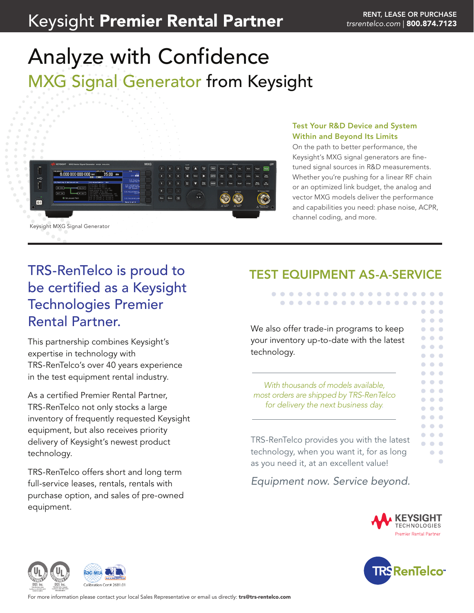# Keysight Premier Rental Partner **Manual Partner Rental Rental Rental Rental Rent** *[trsrentelco.com](http://trsrentelco.com)* | 800.874.7123

# Analyze with Confidence MXG Signal Generator from Keysight



### Test Your R&D Device and System Within and Beyond Its Limits

On the path to better performance, the Keysight's MXG signal generators are finetuned signal sources in R&D measurements. Whether you're pushing for a linear RF chain or an optimized link budget, the analog and vector MXG models deliver the performance and capabilities you need: phase noise, ACPR, channel coding, and more.

## TRS-RenTelco is proud to be certified as a Keysight Technologies Premier Rental Partner.

This partnership combines Keysight's expertise in technology with TRS-RenTelco's over 40 years experience in the test equipment rental industry.

As a certified Premier Rental Partner, TRS-RenTelco not only stocks a large inventory of frequently requested Keysight equipment, but also receives priority delivery of Keysight's newest product technology.

TRS-RenTelco offers short and long term full-service leases, rentals, rentals with purchase option, and sales of pre-owned equipment.

## TEST EQUIPMENT AS-A-SERVICE

. . . . . . . . . . . . . . . . . . . . . . . . . . . . . . . . . .

We also offer trade-in programs to keep your inventory up-to-date with the latest technology.

*With thousands of models available, most orders are shipped by TRS-RenTelco for delivery the next business day.*

TRS-RenTelco provides you with the latest technology, when you want it, for as long as you need it, at an excellent value!

*Equipment now. Service beyond.*



 $\bullet$   $\bullet$   $\bullet$  $\bullet\hspace{0.1cm} \bullet\hspace{0.1cm} \bullet\hspace{0.1cm} \bullet$  $\bullet$   $\bullet$  $\bullet$   $\bullet$  $\bullet$